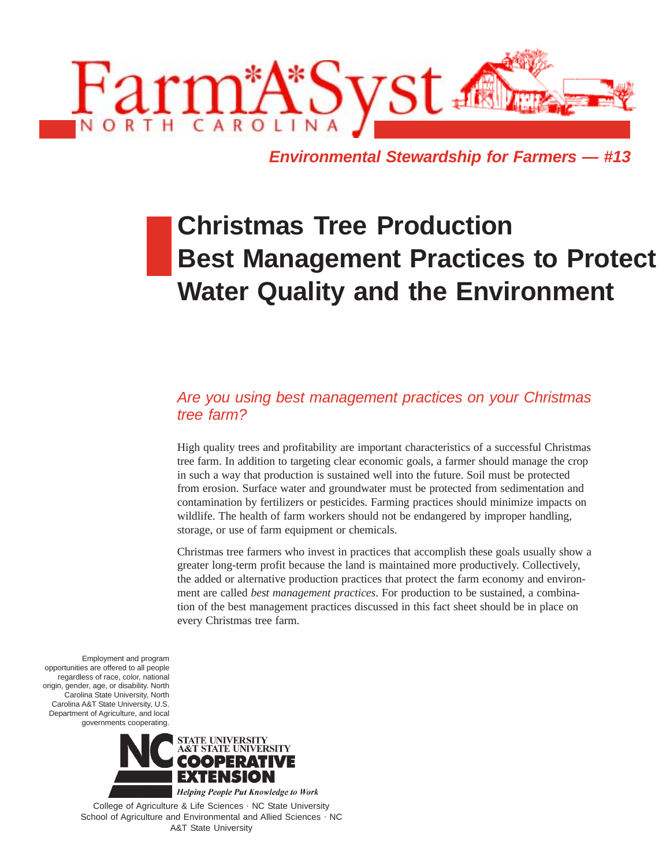

**Environmental Stewardship for Farmers — #13**

# **Christmas Tree Production Best Management Practices to Protect Water Quality and the Environment**

## Are you using best management practices on your Christmas tree farm?

High quality trees and profitability are important characteristics of a successful Christmas tree farm. In addition to targeting clear economic goals, a farmer should manage the crop in such a way that production is sustained well into the future. Soil must be protected from erosion. Surface water and groundwater must be protected from sedimentation and contamination by fertilizers or pesticides. Farming practices should minimize impacts on wildlife. The health of farm workers should not be endangered by improper handling, storage, or use of farm equipment or chemicals.

Christmas tree farmers who invest in practices that accomplish these goals usually show a greater long-term profit because the land is maintained more productively. Collectively, the added or alternative production practices that protect the farm economy and environment are called *best management practices*. For production to be sustained, a combination of the best management practices discussed in this fact sheet should be in place on every Christmas tree farm.

Employment and program opportunities are offered to all people regardless of race, color, national origin, gender, age, or disability. North Carolina State University, North Carolina A&T State University, U.S. Department of Agriculture, and local governments cooperating.



College of Agriculture & Life Sciences . NC State University School of Agriculture and Environmental and Allied Sciences . NC A&T State University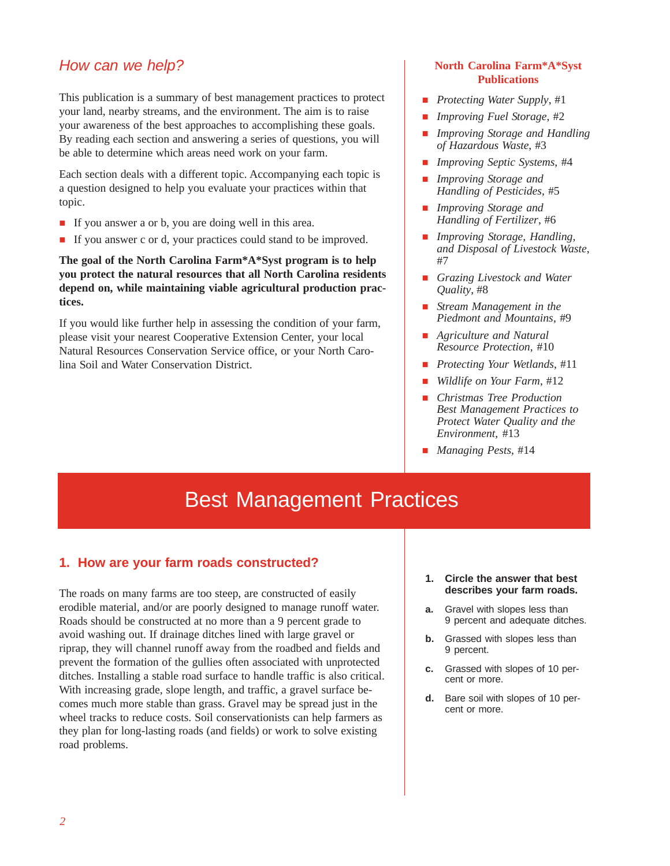## How can we help?

This publication is a summary of best management practices to protect your land, nearby streams, and the environment. The aim is to raise your awareness of the best approaches to accomplishing these goals. By reading each section and answering a series of questions, you will be able to determine which areas need work on your farm.

Each section deals with a different topic. Accompanying each topic is a question designed to help you evaluate your practices within that topic.

- If you answer a or b, you are doing well in this area.
- If you answer c or d, your practices could stand to be improved.

**The goal of the North Carolina Farm\*A\*Syst program is to help you protect the natural resources that all North Carolina residents depend on, while maintaining viable agricultural production practices.**

If you would like further help in assessing the condition of your farm, please visit your nearest Cooperative Extension Center, your local Natural Resources Conservation Service office, or your North Carolina Soil and Water Conservation District.

#### **North Carolina Farm\*A\*Syst Publications**

- *Protecting Water Supply*, #1
- *Improving Fuel Storage*, #2
- *Improving Storage and Handling of Hazardous Waste*, #3
- *Improving Septic Systems*, #4
- *Improving Storage and Handling of Pesticides*, #5
- *Improving Storage and Handling of Fertilizer*, #6
- *Improving Storage, Handling, and Disposal of Livestock Waste*, #7
- *Grazing Livestock and Water Quality*, #8
- *Stream Management in the Piedmont and Mountains*, #9
- *Agriculture and Natural Resource Protection*, #10
- *Protecting Your Wetlands*, #11
- *Wildlife on Your Farm*, #12
- *Christmas Tree Production Best Management Practices to Protect Water Quality and the Environment*, #13
- *Managing Pests*, #14

## Best Management Practices

#### **1. How are your farm roads constructed?**

The roads on many farms are too steep, are constructed of easily erodible material, and/or are poorly designed to manage runoff water. Roads should be constructed at no more than a 9 percent grade to avoid washing out. If drainage ditches lined with large gravel or riprap, they will channel runoff away from the roadbed and fields and prevent the formation of the gullies often associated with unprotected ditches. Installing a stable road surface to handle traffic is also critical. With increasing grade, slope length, and traffic, a gravel surface becomes much more stable than grass. Gravel may be spread just in the wheel tracks to reduce costs. Soil conservationists can help farmers as they plan for long-lasting roads (and fields) or work to solve existing road problems.

- **1. Circle the answer that best describes your farm roads.**
- **a.** Gravel with slopes less than 9 percent and adequate ditches.
- **b.** Grassed with slopes less than 9 percent.
- **c.** Grassed with slopes of 10 percent or more.
- **d.** Bare soil with slopes of 10 percent or more.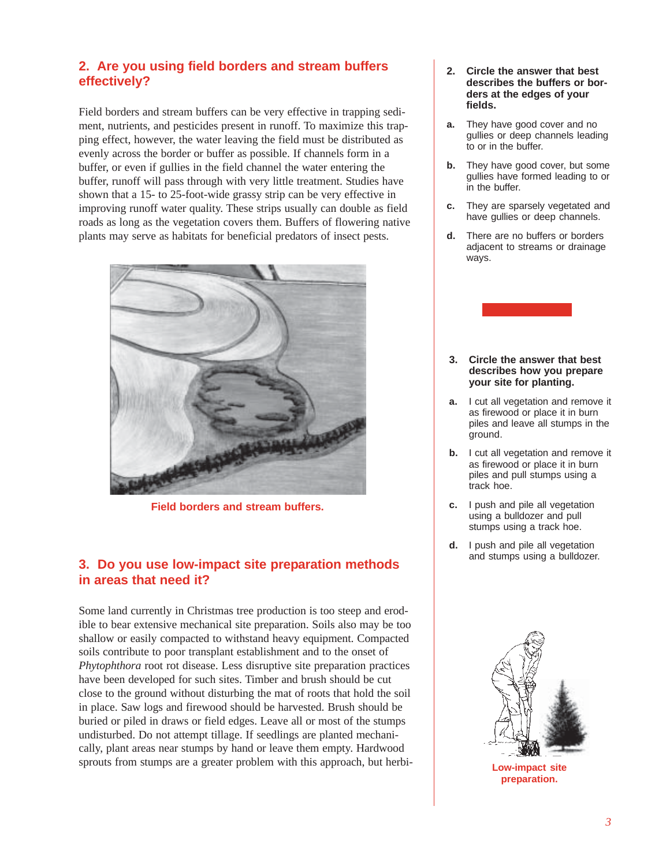## **2. Are you using field borders and stream buffers effectively?**

Field borders and stream buffers can be very effective in trapping sediment, nutrients, and pesticides present in runoff. To maximize this trapping effect, however, the water leaving the field must be distributed as evenly across the border or buffer as possible. If channels form in a buffer, or even if gullies in the field channel the water entering the buffer, runoff will pass through with very little treatment. Studies have shown that a 15- to 25-foot-wide grassy strip can be very effective in improving runoff water quality. These strips usually can double as field roads as long as the vegetation covers them. Buffers of flowering native plants may serve as habitats for beneficial predators of insect pests.



**Field borders and stream buffers.**

## **3. Do you use low-impact site preparation methods in areas that need it?**

Some land currently in Christmas tree production is too steep and erodible to bear extensive mechanical site preparation. Soils also may be too shallow or easily compacted to withstand heavy equipment. Compacted soils contribute to poor transplant establishment and to the onset of *Phytophthora* root rot disease. Less disruptive site preparation practices have been developed for such sites. Timber and brush should be cut close to the ground without disturbing the mat of roots that hold the soil in place. Saw logs and firewood should be harvested. Brush should be buried or piled in draws or field edges. Leave all or most of the stumps undisturbed. Do not attempt tillage. If seedlings are planted mechanically, plant areas near stumps by hand or leave them empty. Hardwood sprouts from stumps are a greater problem with this approach, but herbi-

- **2. Circle the answer that best describes the buffers or borders at the edges of your fields.**
- **a.** They have good cover and no gullies or deep channels leading to or in the buffer.
- **b.** They have good cover, but some gullies have formed leading to or in the buffer.
- **c.** They are sparsely vegetated and have gullies or deep channels.
- **d.** There are no buffers or borders adjacent to streams or drainage ways.



- **c.** I push and pile all vegetation using a bulldozer and pull stumps using a track hoe.
- **d.** I push and pile all vegetation and stumps using a bulldozer.



**Low-impact site preparation.**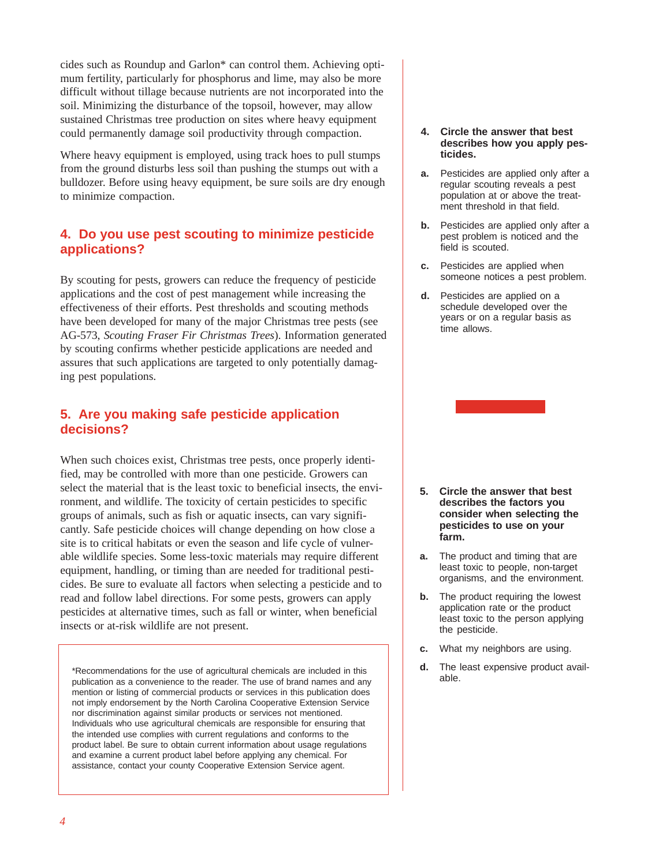cides such as Roundup and Garlon\* can control them. Achieving optimum fertility, particularly for phosphorus and lime, may also be more difficult without tillage because nutrients are not incorporated into the soil. Minimizing the disturbance of the topsoil, however, may allow sustained Christmas tree production on sites where heavy equipment could permanently damage soil productivity through compaction.

Where heavy equipment is employed, using track hoes to pull stumps from the ground disturbs less soil than pushing the stumps out with a bulldozer. Before using heavy equipment, be sure soils are dry enough to minimize compaction.

#### **4. Do you use pest scouting to minimize pesticide applications?**

By scouting for pests, growers can reduce the frequency of pesticide applications and the cost of pest management while increasing the effectiveness of their efforts. Pest thresholds and scouting methods have been developed for many of the major Christmas tree pests (see AG-573, *Scouting Fraser Fir Christmas Trees*). Information generated by scouting confirms whether pesticide applications are needed and assures that such applications are targeted to only potentially damaging pest populations.

#### **5. Are you making safe pesticide application decisions?**

When such choices exist, Christmas tree pests, once properly identified, may be controlled with more than one pesticide. Growers can select the material that is the least toxic to beneficial insects, the environment, and wildlife. The toxicity of certain pesticides to specific groups of animals, such as fish or aquatic insects, can vary significantly. Safe pesticide choices will change depending on how close a site is to critical habitats or even the season and life cycle of vulnerable wildlife species. Some less-toxic materials may require different equipment, handling, or timing than are needed for traditional pesticides. Be sure to evaluate all factors when selecting a pesticide and to read and follow label directions. For some pests, growers can apply pesticides at alternative times, such as fall or winter, when beneficial insects or at-risk wildlife are not present.

\*Recommendations for the use of agricultural chemicals are included in this **and the state of the reader.** The i<br>publication as a convenience to the reader. The use of brand names and any **by a**ble. mention or listing of commercial products or services in this publication does not imply endorsement by the North Carolina Cooperative Extension Service nor discrimination against similar products or services not mentioned. Individuals who use agricultural chemicals are responsible for ensuring that the intended use complies with current regulations and conforms to the product label. Be sure to obtain current information about usage regulations and examine a current product label before applying any chemical. For assistance, contact your county Cooperative Extension Service agent.

#### **4. Circle the answer that best describes how you apply pesticides.**

- **a.** Pesticides are applied only after a regular scouting reveals a pest population at or above the treatment threshold in that field.
- **b.** Pesticides are applied only after a pest problem is noticed and the field is scouted.
- **c.** Pesticides are applied when someone notices a pest problem.
- **d.** Pesticides are applied on a schedule developed over the years or on a regular basis as time allows.

- **5. Circle the answer that best describes the factors you consider when selecting the pesticides to use on your farm.**
- **a.** The product and timing that are least toxic to people, non-target organisms, and the environment.
- **b.** The product requiring the lowest application rate or the product least toxic to the person applying the pesticide.
- **c.** What my neighbors are using.
- **d.** The least expensive product available.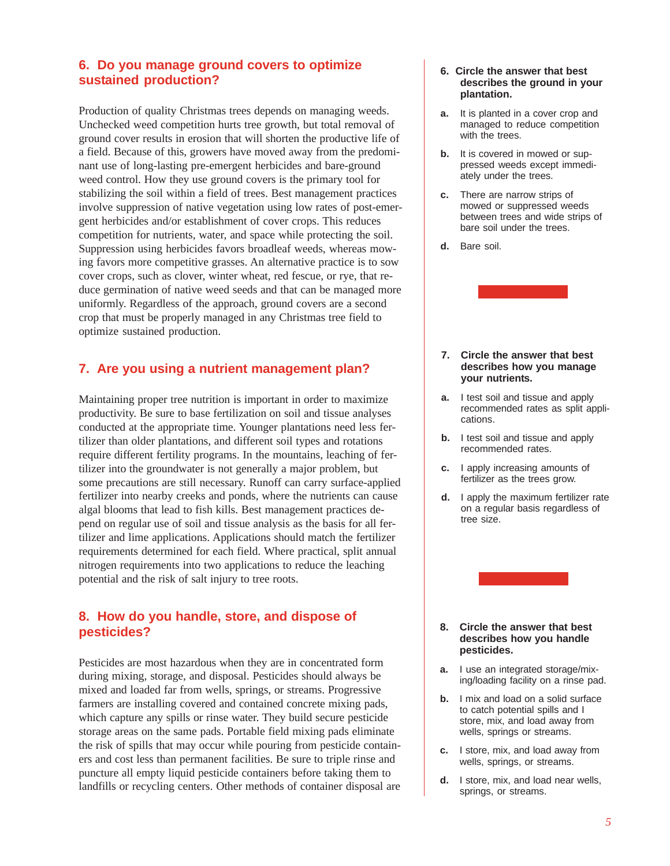## **6. Do you manage ground covers to optimize sustained production?**

Production of quality Christmas trees depends on managing weeds. Unchecked weed competition hurts tree growth, but total removal of ground cover results in erosion that will shorten the productive life of a field. Because of this, growers have moved away from the predominant use of long-lasting pre-emergent herbicides and bare-ground weed control. How they use ground covers is the primary tool for stabilizing the soil within a field of trees. Best management practices involve suppression of native vegetation using low rates of post-emergent herbicides and/or establishment of cover crops. This reduces competition for nutrients, water, and space while protecting the soil. Suppression using herbicides favors broadleaf weeds, whereas mowing favors more competitive grasses. An alternative practice is to sow cover crops, such as clover, winter wheat, red fescue, or rye, that reduce germination of native weed seeds and that can be managed more uniformly. Regardless of the approach, ground covers are a second crop that must be properly managed in any Christmas tree field to optimize sustained production.

## **7. Are you using a nutrient management plan?**

Maintaining proper tree nutrition is important in order to maximize productivity. Be sure to base fertilization on soil and tissue analyses conducted at the appropriate time. Younger plantations need less fertilizer than older plantations, and different soil types and rotations require different fertility programs. In the mountains, leaching of fertilizer into the groundwater is not generally a major problem, but some precautions are still necessary. Runoff can carry surface-applied fertilizer into nearby creeks and ponds, where the nutrients can cause algal blooms that lead to fish kills. Best management practices depend on regular use of soil and tissue analysis as the basis for all fertilizer and lime applications. Applications should match the fertilizer requirements determined for each field. Where practical, split annual nitrogen requirements into two applications to reduce the leaching potential and the risk of salt injury to tree roots.

#### **8. How do you handle, store, and dispose of pesticides?**

Pesticides are most hazardous when they are in concentrated form during mixing, storage, and disposal. Pesticides should always be mixed and loaded far from wells, springs, or streams. Progressive farmers are installing covered and contained concrete mixing pads, which capture any spills or rinse water. They build secure pesticide storage areas on the same pads. Portable field mixing pads eliminate the risk of spills that may occur while pouring from pesticide containers and cost less than permanent facilities. Be sure to triple rinse and puncture all empty liquid pesticide containers before taking them to landfills or recycling centers. Other methods of container disposal are

#### **6. Circle the answer that best describes the ground in your plantation.**

- **a.** It is planted in a cover crop and managed to reduce competition with the trees.
- **b.** It is covered in mowed or suppressed weeds except immediately under the trees.
- **c.** There are narrow strips of mowed or suppressed weeds between trees and wide strips of bare soil under the trees.
- **d.** Bare soil.



- **7. Circle the answer that best describes how you manage your nutrients.**
- **a.** I test soil and tissue and apply recommended rates as split applications.
- **b.** I test soil and tissue and apply recommended rates.
- **c.** I apply increasing amounts of fertilizer as the trees grow.
- **d.** I apply the maximum fertilizer rate on a regular basis regardless of tree size.



#### **8. Circle the answer that best describes how you handle pesticides.**

- **a.** I use an integrated storage/mixing/loading facility on a rinse pad.
- **b.** I mix and load on a solid surface to catch potential spills and I store, mix, and load away from wells, springs or streams.
- **c.** I store, mix, and load away from wells, springs, or streams.
- **d.** I store, mix, and load near wells, springs, or streams.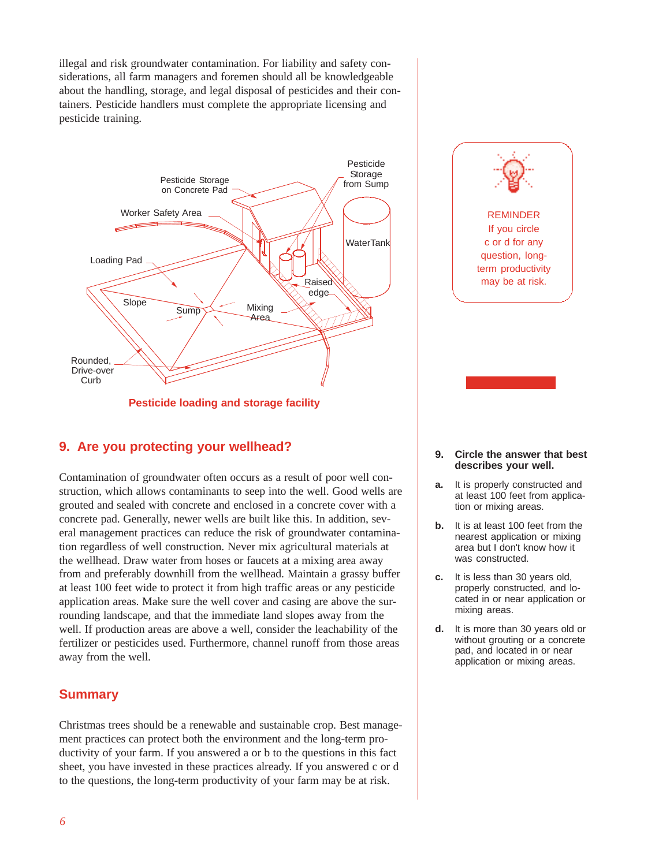illegal and risk groundwater contamination. For liability and safety considerations, all farm managers and foremen should all be knowledgeable about the handling, storage, and legal disposal of pesticides and their containers. Pesticide handlers must complete the appropriate licensing and pesticide training.



**Pesticide loading and storage facility**

## **9. Are you protecting your wellhead?**

Contamination of groundwater often occurs as a result of poor well construction, which allows contaminants to seep into the well. Good wells are grouted and sealed with concrete and enclosed in a concrete cover with a concrete pad. Generally, newer wells are built like this. In addition, several management practices can reduce the risk of groundwater contamination regardless of well construction. Never mix agricultural materials at the wellhead. Draw water from hoses or faucets at a mixing area away from and preferably downhill from the wellhead. Maintain a grassy buffer at least 100 feet wide to protect it from high traffic areas or any pesticide application areas. Make sure the well cover and casing are above the surrounding landscape, and that the immediate land slopes away from the well. If production areas are above a well, consider the leachability of the fertilizer or pesticides used. Furthermore, channel runoff from those areas away from the well.

#### **Summary**

Christmas trees should be a renewable and sustainable crop. Best management practices can protect both the environment and the long-term productivity of your farm. If you answered a or b to the questions in this fact sheet, you have invested in these practices already. If you answered c or d to the questions, the long-term productivity of your farm may be at risk.

REMINDER If you circle c or d for any question, longterm productivity may be at risk.

#### **9. Circle the answer that best describes your well.**

- **a.** It is properly constructed and at least 100 feet from application or mixing areas.
- **b.** It is at least 100 feet from the nearest application or mixing area but I don't know how it was constructed.
- **c.** It is less than 30 years old, properly constructed, and located in or near application or mixing areas.
- **d.** It is more than 30 years old or without grouting or a concrete pad, and located in or near application or mixing areas.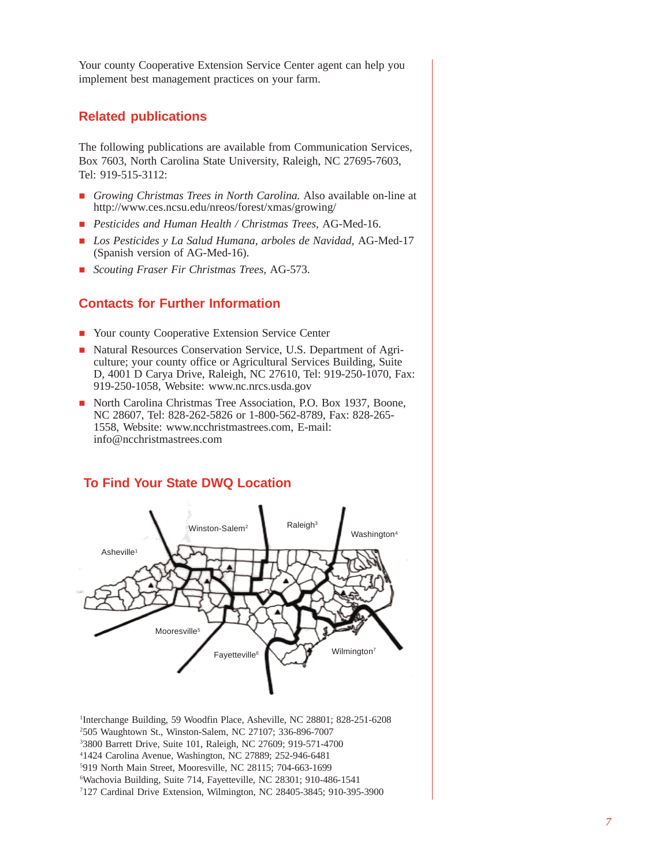Your county Cooperative Extension Service Center agent can help you implement best management practices on your farm.

#### **Related publications**

The following publications are available from Communication Services, Box 7603, North Carolina State University, Raleigh, NC 27695-7603, Tel: 919-515-3112:

- *Growing Christmas Trees in North Carolina.* Also available on-line at http://www.ces.ncsu.edu/nreos/forest/xmas/growing/
- *Pesticides and Human Health / Christmas Trees,* AG-Med-16.
- *Los Pesticides y La Salud Humana, arboles de Navidad,* AG-Med-17 (Spanish version of AG-Med-16).
- *Scouting Fraser Fir Christmas Trees,* AG-573.

#### **Contacts for Further Information**

- Your county Cooperative Extension Service Center
- Natural Resources Conservation Service, U.S. Department of Agriculture; your county office or Agricultural Services Building, Suite D, 4001 D Carya Drive, Raleigh, NC 27610, Tel: 919-250-1070, Fax: 919-250-1058, Website: www.nc.nrcs.usda.gov
- North Carolina Christmas Tree Association, P.O. Box 1937, Boone, NC 28607, Tel: 828-262-5826 or 1-800-562-8789, Fax: 828-265- 1558, Website: www.ncchristmastrees.com, E-mail: info@ncchristmastrees.com



#### **To Find Your State DWQ Location**

 Interchange Building, 59 Woodfin Place, Asheville, NC 28801; 828-251-6208 505 Waughtown St., Winston-Salem, NC 27107; 336-896-7007 3800 Barrett Drive, Suite 101, Raleigh, NC 27609; 919-571-4700 1424 Carolina Avenue, Washington, NC 27889; 252-946-6481 919 North Main Street, Mooresville, NC 28115; 704-663-1699 Wachovia Building, Suite 714, Fayetteville, NC 28301; 910-486-1541 127 Cardinal Drive Extension, Wilmington, NC 28405-3845; 910-395-3900